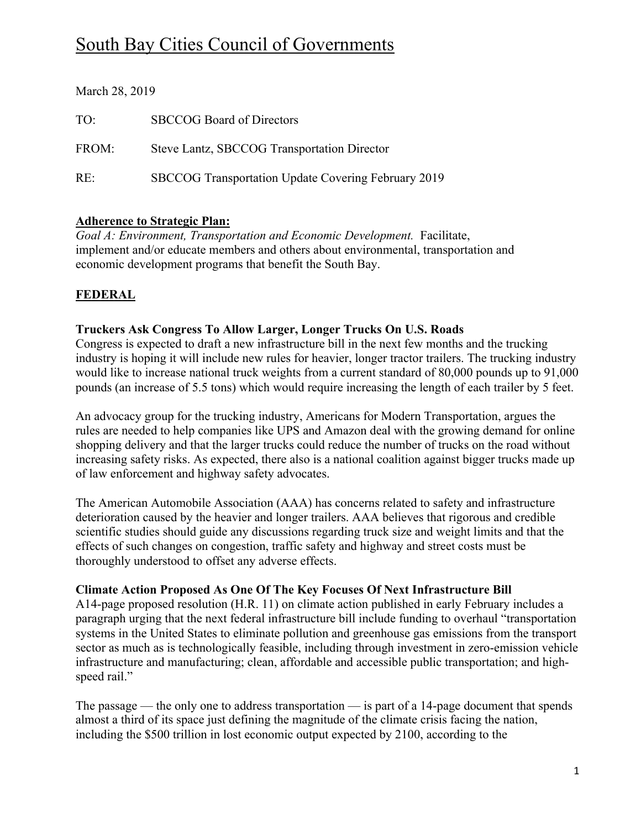# South Bay Cities Council of Governments

| March 28, 2019 |                                                     |
|----------------|-----------------------------------------------------|
| TO:            | <b>SBCCOG Board of Directors</b>                    |
| FROM:          | Steve Lantz, SBCCOG Transportation Director         |
| RE:            | SBCCOG Transportation Update Covering February 2019 |

### **Adherence to Strategic Plan:**

*Goal A: Environment, Transportation and Economic Development.* Facilitate, implement and/or educate members and others about environmental, transportation and economic development programs that benefit the South Bay.

## **FEDERAL**

### **Truckers Ask Congress To Allow Larger, Longer Trucks On U.S. Roads**

Congress is expected to draft a new infrastructure bill in the next few months and the trucking industry is hoping it will include new rules for heavier, longer tractor trailers. The trucking industry would like to increase national truck weights from a current standard of 80,000 pounds up to 91,000 pounds (an increase of 5.5 tons) which would require increasing the length of each trailer by 5 feet.

An advocacy group for the trucking industry, Americans for Modern Transportation, argues the rules are needed to help companies like UPS and Amazon deal with the growing demand for online shopping delivery and that the larger trucks could reduce the number of trucks on the road without increasing safety risks. As expected, there also is a national coalition against bigger trucks made up of law enforcement and highway safety advocates.

The American Automobile Association (AAA) has concerns related to safety and infrastructure deterioration caused by the heavier and longer trailers. AAA believes that rigorous and credible scientific studies should guide any discussions regarding truck size and weight limits and that the effects of such changes on congestion, traffic safety and highway and street costs must be thoroughly understood to offset any adverse effects.

### **Climate Action Proposed As One Of The Key Focuses Of Next Infrastructure Bill**

A14-page proposed resolution (H.R. 11) on climate action published in early February includes a paragraph urging that the next federal infrastructure bill include funding to overhaul "transportation systems in the United States to eliminate pollution and greenhouse gas emissions from the transport sector as much as is technologically feasible, including through investment in zero-emission vehicle infrastructure and manufacturing; clean, affordable and accessible public transportation; and highspeed rail."

The passage — the only one to address transportation — is part of a 14-page document that spends almost a third of its space just defining the magnitude of the climate crisis facing the nation, including the \$500 trillion in lost economic output expected by 2100, according to the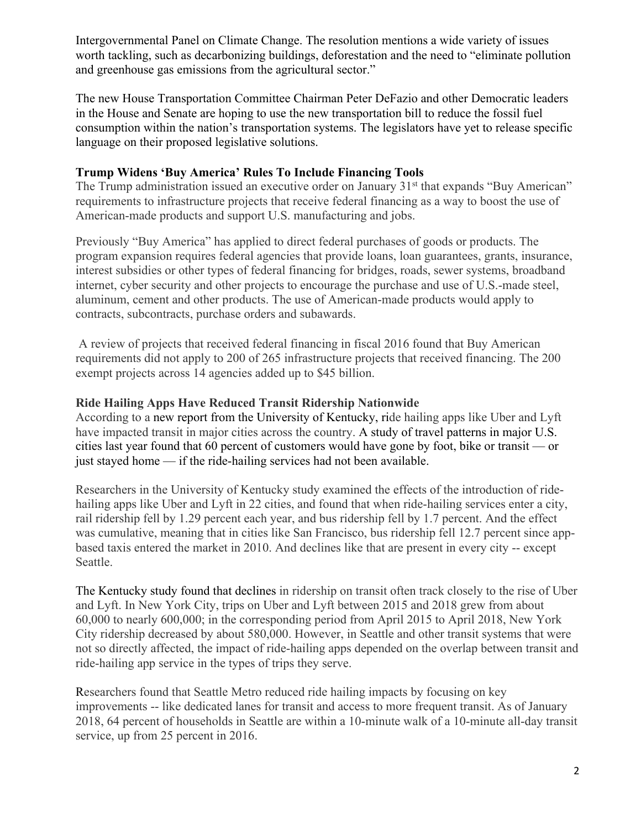Intergovernmental Panel on Climate Change. The resolution mentions a wide variety of issues worth tackling, such as decarbonizing buildings, deforestation and the need to "eliminate pollution and greenhouse gas emissions from the agricultural sector."

The new House Transportation Committee Chairman Peter DeFazio and other Democratic leaders in the House and Senate are hoping to use the new transportation bill to reduce the fossil fuel consumption within the nation's transportation systems. The legislators have yet to release specific language on their proposed legislative solutions.

### **Trump Widens 'Buy America' Rules To Include Financing Tools**

The Trump administration issued an executive order on January 31<sup>st</sup> that expands "Buy American" requirements to infrastructure projects that receive federal financing as a way to boost the use of American-made products and support U.S. manufacturing and jobs.

Previously "Buy America" has applied to direct federal purchases of goods or products. The program expansion requires federal agencies that provide loans, loan guarantees, grants, insurance, interest subsidies or other types of federal financing for bridges, roads, sewer systems, broadband internet, cyber security and other projects to encourage the purchase and use of U.S.-made steel, aluminum, cement and other products. The use of American-made products would apply to contracts, subcontracts, purchase orders and subawards.

A review of projects that received federal financing in fiscal 2016 found that Buy American requirements did not apply to 200 of 265 infrastructure projects that received financing. The 200 exempt projects across 14 agencies added up to \$45 billion.

### **Ride Hailing Apps Have Reduced Transit Ridership Nationwide**

According to a new report from the University of Kentucky, ride hailing apps like Uber and Lyft have impacted transit in major cities across the country. A study of travel patterns in major U.S. cities last year found that 60 percent of customers would have gone by foot, bike or transit — or just stayed home — if the ride-hailing services had not been available.

Researchers in the University of Kentucky study examined the effects of the introduction of ridehailing apps like Uber and Lyft in 22 cities, and found that when ride-hailing services enter a city, rail ridership fell by 1.29 percent each year, and bus ridership fell by 1.7 percent. And the effect was cumulative, meaning that in cities like San Francisco, bus ridership fell 12.7 percent since appbased taxis entered the market in 2010. And declines like that are present in every city -- except Seattle.

The Kentucky study found that declines in ridership on transit often track closely to the rise of Uber and Lyft. In New York City, trips on Uber and Lyft between 2015 and 2018 grew from about 60,000 to nearly 600,000; in the corresponding period from April 2015 to April 2018, New York City ridership decreased by about 580,000. However, in Seattle and other transit systems that were not so directly affected, the impact of ride-hailing apps depended on the overlap between transit and ride-hailing app service in the types of trips they serve.

Researchers found that Seattle Metro reduced ride hailing impacts by focusing on key improvements -- like dedicated lanes for transit and access to more frequent transit. As of January 2018, 64 percent of households in Seattle are within a 10-minute walk of a 10-minute all-day transit service, up from 25 percent in 2016.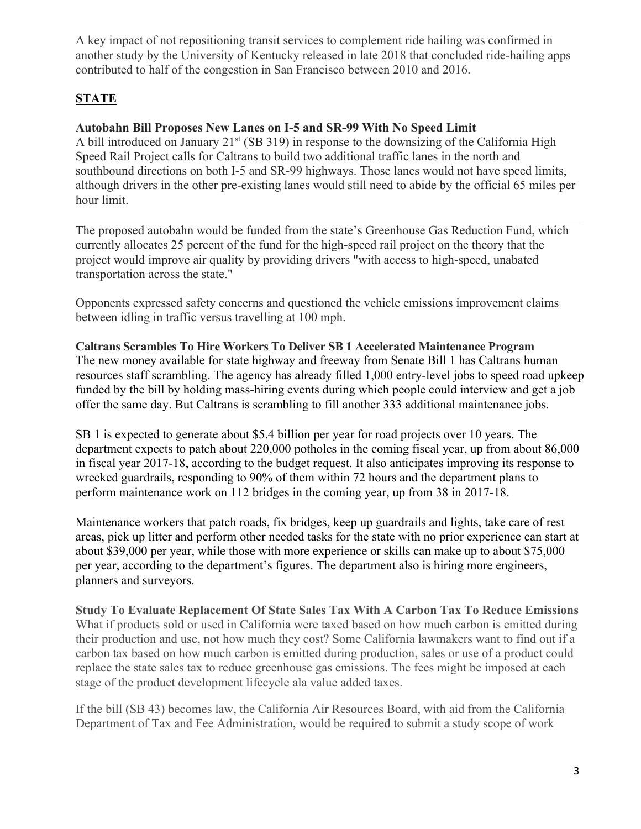A key impact of not repositioning transit services to complement ride hailing was confirmed in another study by the University of Kentucky released in late 2018 that concluded ride-hailing apps contributed to half of the congestion in San Francisco between 2010 and 2016.

# **STATE**

## **Autobahn Bill Proposes New Lanes on I-5 and SR-99 With No Speed Limit**

A bill introduced on January  $21<sup>st</sup>$  (SB 319) in response to the downsizing of the California High Speed Rail Project calls for Caltrans to build two additional traffic lanes in the north and southbound directions on both I-5 and SR-99 highways. Those lanes would not have speed limits, although drivers in the other pre-existing lanes would still need to abide by the official 65 miles per hour limit.

The proposed autobahn would be funded from the state's Greenhouse Gas Reduction Fund, which currently allocates 25 percent of the fund for the high-speed rail project on the theory that the project would improve air quality by providing drivers "with access to high-speed, unabated transportation across the state."

Opponents expressed safety concerns and questioned the vehicle emissions improvement claims between idling in traffic versus travelling at 100 mph.

# **Caltrans Scrambles To Hire Workers To Deliver SB 1 Accelerated Maintenance Program**

The new money available for state highway and freeway from Senate Bill 1 has Caltrans human resources staff scrambling. The agency has already filled 1,000 entry-level jobs to speed road upkeep funded by the bill by holding mass-hiring events during which people could interview and get a job offer the same day. But Caltrans is scrambling to fill another 333 additional maintenance jobs.

SB 1 is expected to generate about \$5.4 billion per year for road projects over 10 years. The department expects to patch about 220,000 potholes in the coming fiscal year, up from about 86,000 in fiscal year 2017-18, according to the budget request. It also anticipates improving its response to wrecked guardrails, responding to 90% of them within 72 hours and the department plans to perform maintenance work on 112 bridges in the coming year, up from 38 in 2017-18.

Maintenance workers that patch roads, fix bridges, keep up guardrails and lights, take care of rest areas, pick up litter and perform other needed tasks for the state with no prior experience can start at about \$39,000 per year, while those with more experience or skills can make up to about \$75,000 per year, according to the department's figures. The department also is hiring more engineers, planners and surveyors.

**Study To Evaluate Replacement Of State Sales Tax With A Carbon Tax To Reduce Emissions** What if products sold or used in California were taxed based on how much carbon is emitted during their production and use, not how much they cost? Some California lawmakers want to find out if a carbon tax based on how much carbon is emitted during production, sales or use of a product could replace the state sales tax to reduce greenhouse gas emissions. The fees might be imposed at each stage of the product development lifecycle ala value added taxes.

If the bill (SB 43) becomes law, the California Air Resources Board, with aid from the California Department of Tax and Fee Administration, would be required to submit a study scope of work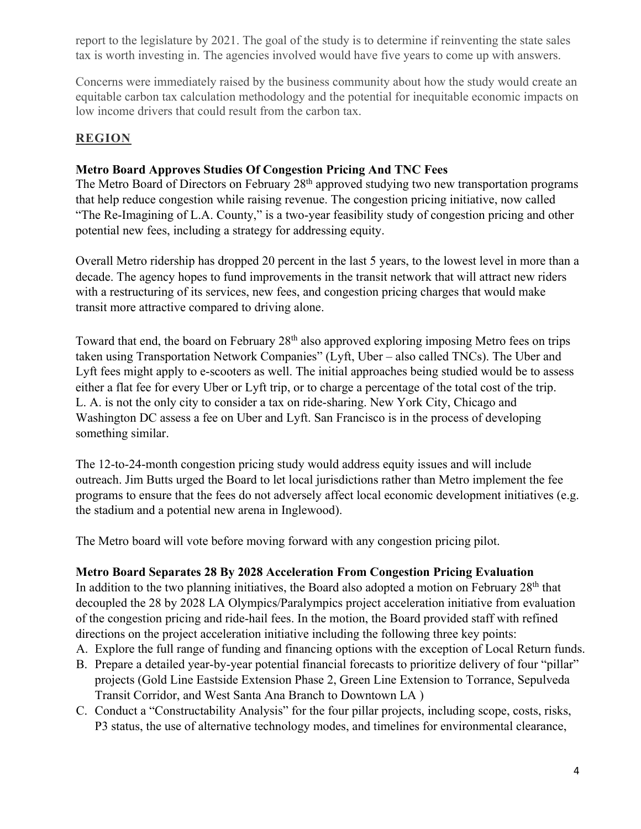report to the legislature by 2021. The goal of the study is to determine if reinventing the state sales tax is worth investing in. The agencies involved would have five years to come up with answers.

Concerns were immediately raised by the business community about how the study would create an equitable carbon tax calculation methodology and the potential for inequitable economic impacts on low income drivers that could result from the carbon tax.

## **REGION**

### **Metro Board Approves Studies Of Congestion Pricing And TNC Fees**

The Metro Board of Directors on February 28<sup>th</sup> approved studying two new transportation programs that help reduce congestion while raising revenue. The congestion pricing initiative, now called "The Re-Imagining of L.A. County," is a two-year feasibility study of congestion pricing and other potential new fees, including a strategy for addressing equity.

Overall Metro ridership has dropped 20 percent in the last 5 years, to the lowest level in more than a decade. The agency hopes to fund improvements in the transit network that will attract new riders with a restructuring of its services, new fees, and congestion pricing charges that would make transit more attractive compared to driving alone.

Toward that end, the board on February 28th also approved exploring imposing Metro fees on trips taken using Transportation Network Companies" (Lyft, Uber – also called TNCs). The Uber and Lyft fees might apply to e-scooters as well. The initial approaches being studied would be to assess either a flat fee for every Uber or Lyft trip, or to charge a percentage of the total cost of the trip. L. A. is not the only city to consider a tax on ride-sharing. New York City, Chicago and Washington DC assess a fee on Uber and Lyft. San Francisco is in the process of developing something similar.

The 12-to-24-month congestion pricing study would address equity issues and will include outreach. Jim Butts urged the Board to let local jurisdictions rather than Metro implement the fee programs to ensure that the fees do not adversely affect local economic development initiatives (e.g. the stadium and a potential new arena in Inglewood).

The Metro board will vote before moving forward with any congestion pricing pilot.

### **Metro Board Separates 28 By 2028 Acceleration From Congestion Pricing Evaluation**

In addition to the two planning initiatives, the Board also adopted a motion on February 28<sup>th</sup> that decoupled the 28 by 2028 LA Olympics/Paralympics project acceleration initiative from evaluation of the congestion pricing and ride-hail fees. In the motion, the Board provided staff with refined directions on the project acceleration initiative including the following three key points:

- A. Explore the full range of funding and financing options with the exception of Local Return funds.
- B. Prepare a detailed year-by-year potential financial forecasts to prioritize delivery of four "pillar" projects (Gold Line Eastside Extension Phase 2, Green Line Extension to Torrance, Sepulveda Transit Corridor, and West Santa Ana Branch to Downtown LA )
- C. Conduct a "Constructability Analysis" for the four pillar projects, including scope, costs, risks, P3 status, the use of alternative technology modes, and timelines for environmental clearance,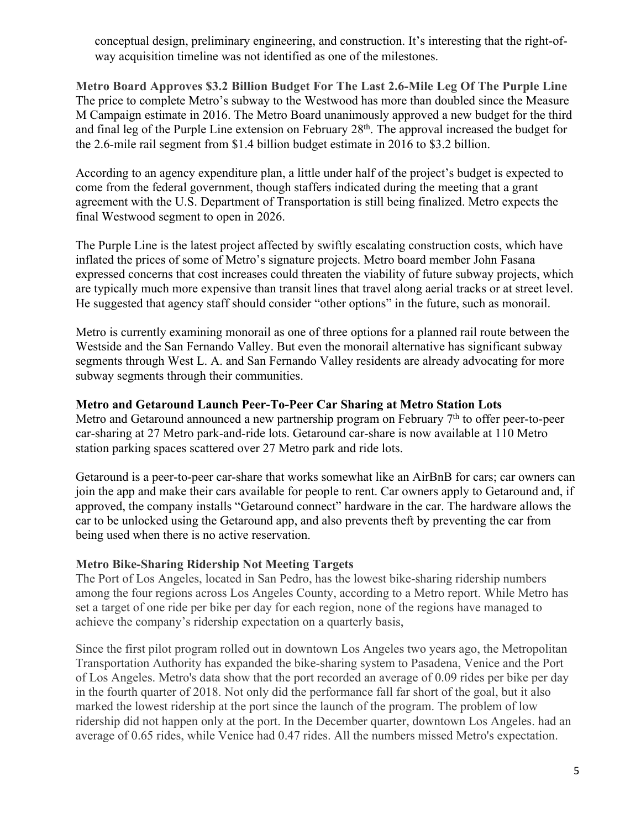conceptual design, preliminary engineering, and construction. It's interesting that the right-ofway acquisition timeline was not identified as one of the milestones.

**Metro Board Approves \$3.2 Billion Budget For The Last 2.6-Mile Leg Of The Purple Line** The price to complete Metro's subway to the Westwood has more than doubled since the Measure M Campaign estimate in 2016. The Metro Board unanimously approved a new budget for the third and final leg of the Purple Line extension on February 28th. The approval increased the budget for the 2.6-mile rail segment from \$1.4 billion budget estimate in 2016 to \$3.2 billion.

According to an agency expenditure plan, a little under half of the project's budget is expected to come from the federal government, though staffers indicated during the meeting that a grant agreement with the U.S. Department of Transportation is still being finalized. Metro expects the final Westwood segment to open in 2026.

The Purple Line is the latest project affected by swiftly escalating construction costs, which have inflated the prices of some of Metro's signature projects. Metro board member John Fasana expressed concerns that cost increases could threaten the viability of future subway projects, which are typically much more expensive than transit lines that travel along aerial tracks or at street level. He suggested that agency staff should consider "other options" in the future, such as monorail.

Metro is currently examining monorail as one of three options for a planned rail route between the Westside and the San Fernando Valley. But even the monorail alternative has significant subway segments through West L. A. and San Fernando Valley residents are already advocating for more subway segments through their communities.

#### **Metro and Getaround Launch Peer-To-Peer Car Sharing at Metro Station Lots**

Metro and Getaround announced a new partnership program on February 7<sup>th</sup> to offer peer-to-peer car-sharing at 27 Metro park-and-ride lots. Getaround car-share is now available at 110 Metro station parking spaces scattered over 27 Metro park and ride lots.

Getaround is a peer-to-peer car-share that works somewhat like an AirBnB for cars; car owners can join the app and make their cars available for people to rent. Car owners apply to Getaround and, if approved, the company installs "Getaround connect" hardware in the car. The hardware allows the car to be unlocked using the Getaround app, and also prevents theft by preventing the car from being used when there is no active reservation.

#### **Metro Bike-Sharing Ridership Not Meeting Targets**

The Port of Los Angeles, located in San Pedro, has the lowest bike-sharing ridership numbers among the four regions across Los Angeles County, according to a Metro report. While Metro has set a target of one ride per bike per day for each region, none of the regions have managed to achieve the company's ridership expectation on a quarterly basis,

Since the first pilot program rolled out in downtown Los Angeles two years ago, the Metropolitan Transportation Authority has expanded the bike-sharing system to Pasadena, Venice and the Port of Los Angeles. Metro's data show that the port recorded an average of 0.09 rides per bike per day in the fourth quarter of 2018. Not only did the performance fall far short of the goal, but it also marked the lowest ridership at the port since the launch of the program. The problem of low ridership did not happen only at the port. In the December quarter, downtown Los Angeles. had an average of 0.65 rides, while Venice had 0.47 rides. All the numbers missed Metro's expectation.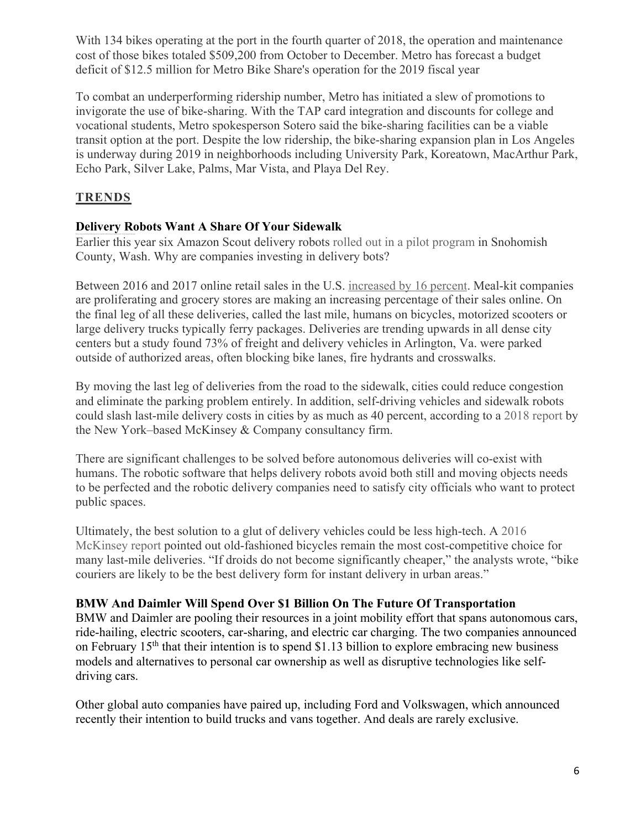With 134 bikes operating at the port in the fourth quarter of 2018, the operation and maintenance cost of those bikes totaled \$509,200 from October to December. Metro has forecast a budget deficit of \$12.5 million for Metro Bike Share's operation for the 2019 fiscal year

To combat an underperforming ridership number, Metro has initiated a slew of promotions to invigorate the use of bike-sharing. With the TAP card integration and discounts for college and vocational students, Metro spokesperson Sotero said the bike-sharing facilities can be a viable transit option at the port. Despite the low ridership, the bike-sharing expansion plan in Los Angeles is underway during 2019 in neighborhoods including University Park, Koreatown, MacArthur Park, Echo Park, Silver Lake, Palms, Mar Vista, and Playa Del Rey.

## **TRENDS**

## **Delivery Robots Want A Share Of Your Sidewalk**

Earlier this year six Amazon Scout delivery robots rolled out in a pilot program in Snohomish County, Wash. Why are companies investing in delivery bots?

Between 2016 and 2017 online retail sales in the U.S. increased by 16 percent. Meal-kit companies are proliferating and grocery stores are making an increasing percentage of their sales online. On the final leg of all these deliveries, called the last mile, humans on bicycles, motorized scooters or large delivery trucks typically ferry packages. Deliveries are trending upwards in all dense city centers but a study found 73% of freight and delivery vehicles in Arlington, Va. were parked outside of authorized areas, often blocking bike lanes, fire hydrants and crosswalks.

By moving the last leg of deliveries from the road to the sidewalk, cities could reduce congestion and eliminate the parking problem entirely. In addition, self-driving vehicles and sidewalk robots could slash last-mile delivery costs in cities by as much as 40 percent, according to a 2018 report by the New York–based McKinsey & Company consultancy firm.

There are significant challenges to be solved before autonomous deliveries will co-exist with humans. The robotic software that helps delivery robots avoid both still and moving objects needs to be perfected and the robotic delivery companies need to satisfy city officials who want to protect public spaces.

Ultimately, the best solution to a glut of delivery vehicles could be less high-tech. A 2016 McKinsey report pointed out old-fashioned bicycles remain the most cost-competitive choice for many last-mile deliveries. "If droids do not become significantly cheaper," the analysts wrote, "bike couriers are likely to be the best delivery form for instant delivery in urban areas."

## **BMW And Daimler Will Spend Over \$1 Billion On The Future Of Transportation**

BMW and Daimler are pooling their resources in a joint mobility effort that spans autonomous cars, ride-hailing, electric scooters, car-sharing, and electric car charging. The two companies announced on February  $15<sup>th</sup>$  that their intention is to spend \$1.13 billion to explore embracing new business models and alternatives to personal car ownership as well as disruptive technologies like selfdriving cars.

Other global auto companies have paired up, including Ford and Volkswagen, which announced recently their intention to build trucks and vans together. And deals are rarely exclusive.